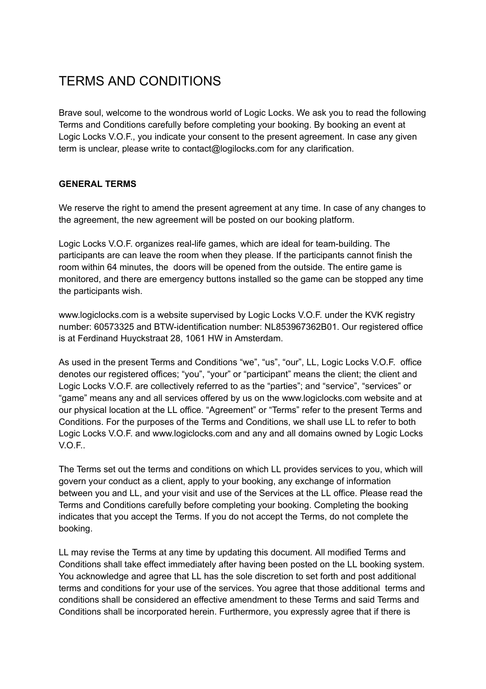# TERMS AND CONDITIONS

Brave soul, welcome to the wondrous world of Logic Locks. We ask you to read the following Terms and Conditions carefully before completing your booking. By booking an event at Logic Locks V.O.F., you indicate your consent to the present agreement. In case any given term is unclear, please write to contact@logilocks.com for any clarification.

# **GENERAL TERMS**

We reserve the right to amend the present agreement at any time. In case of any changes to the agreement, the new agreement will be posted on our booking platform.

Logic Locks V.O.F. organizes real-life games, which are ideal for team-building. The participants are can leave the room when they please. If the participants cannot finish the room within 64 minutes, the doors will be opened from the outside. The entire game is monitored, and there are emergency buttons installed so the game can be stopped any time the participants wish.

www.logiclocks.com is a website supervised by Logic Locks V.O.F. under the KVK registry number: 60573325 and BTW-identification number: NL853967362B01. Our registered office is at Ferdinand Huyckstraat 28, 1061 HW in Amsterdam.

As used in the present Terms and Conditions "we", "us", "our", LL, Logic Locks V.O.F. office denotes our registered offices; "you", "your" or "participant" means the client; the client and Logic Locks V.O.F. are collectively referred to as the "parties"; and "service", "services" or "game" means any and all services offered by us on the www.logiclocks.com website and at our physical location at the LL office. "Agreement" or "Terms" refer to the present Terms and Conditions. For the purposes of the Terms and Conditions, we shall use LL to refer to both Logic Locks V.O.F. and www.logiclocks.com and any and all domains owned by Logic Locks V.O.F..

The Terms set out the terms and conditions on which LL provides services to you, which will govern your conduct as a client, apply to your booking, any exchange of information between you and LL, and your visit and use of the Services at the LL office. Please read the Terms and Conditions carefully before completing your booking. Completing the booking indicates that you accept the Terms. If you do not accept the Terms, do not complete the booking.

LL may revise the Terms at any time by updating this document. All modified Terms and Conditions shall take effect immediately after having been posted on the LL booking system. You acknowledge and agree that LL has the sole discretion to set forth and post additional terms and conditions for your use of the services. You agree that those additional terms and conditions shall be considered an effective amendment to these Terms and said Terms and Conditions shall be incorporated herein. Furthermore, you expressly agree that if there is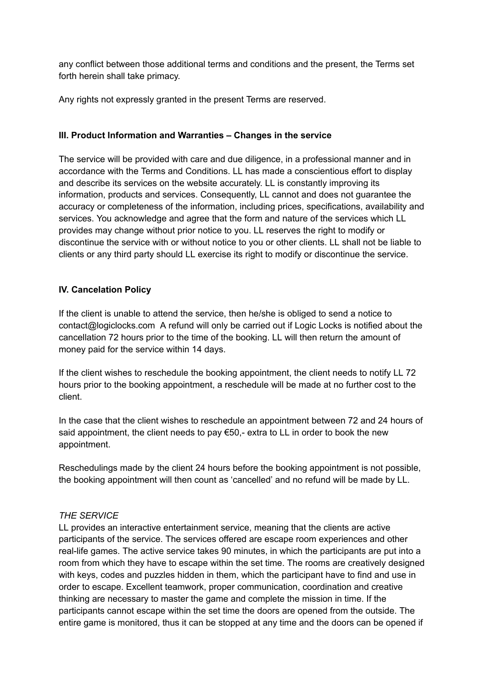any conflict between those additional terms and conditions and the present, the Terms set forth herein shall take primacy.

Any rights not expressly granted in the present Terms are reserved.

# **III. Product Information and Warranties – Changes in the service**

The service will be provided with care and due diligence, in a professional manner and in accordance with the Terms and Conditions. LL has made a conscientious effort to display and describe its services on the website accurately. LL is constantly improving its information, products and services. Consequently, LL cannot and does not guarantee the accuracy or completeness of the information, including prices, specifications, availability and services. You acknowledge and agree that the form and nature of the services which LL provides may change without prior notice to you. LL reserves the right to modify or discontinue the service with or without notice to you or other clients. LL shall not be liable to clients or any third party should LL exercise its right to modify or discontinue the service.

# **IV. Cancelation Policy**

If the client is unable to attend the service, then he/she is obliged to send a notice to contact@logiclocks.com A refund will only be carried out if Logic Locks is notified about the cancellation 72 hours prior to the time of the booking. LL will then return the amount of money paid for the service within 14 days.

If the client wishes to reschedule the booking appointment, the client needs to notify LL 72 hours prior to the booking appointment, a reschedule will be made at no further cost to the client.

In the case that the client wishes to reschedule an appointment between 72 and 24 hours of said appointment, the client needs to pay  $\epsilon$ 50,- extra to LL in order to book the new appointment.

Reschedulings made by the client 24 hours before the booking appointment is not possible, the booking appointment will then count as 'cancelled' and no refund will be made by LL.

## *THE SERVICE*

LL provides an interactive entertainment service, meaning that the clients are active participants of the service. The services offered are escape room experiences and other real-life games. The active service takes 90 minutes, in which the participants are put into a room from which they have to escape within the set time. The rooms are creatively designed with keys, codes and puzzles hidden in them, which the participant have to find and use in order to escape. Excellent teamwork, proper communication, coordination and creative thinking are necessary to master the game and complete the mission in time. If the participants cannot escape within the set time the doors are opened from the outside. The entire game is monitored, thus it can be stopped at any time and the doors can be opened if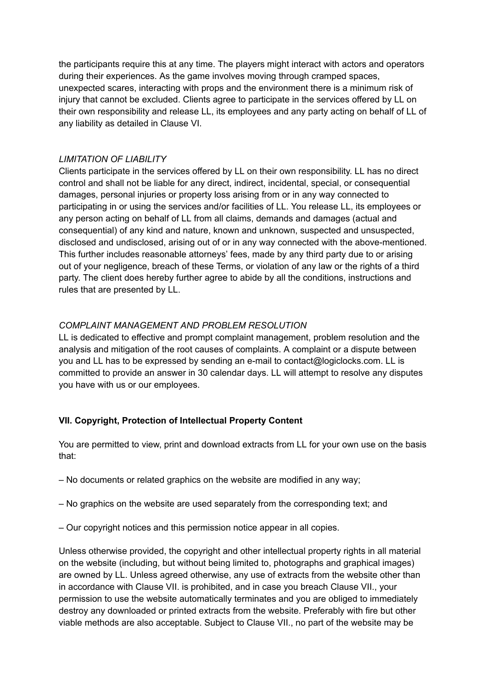the participants require this at any time. The players might interact with actors and operators during their experiences. As the game involves moving through cramped spaces, unexpected scares, interacting with props and the environment there is a minimum risk of injury that cannot be excluded. Clients agree to participate in the services offered by LL on their own responsibility and release LL, its employees and any party acting on behalf of LL of any liability as detailed in Clause VI.

## *LIMITATION OF LIABILITY*

Clients participate in the services offered by LL on their own responsibility. LL has no direct control and shall not be liable for any direct, indirect, incidental, special, or consequential damages, personal injuries or property loss arising from or in any way connected to participating in or using the services and/or facilities of LL. You release LL, its employees or any person acting on behalf of LL from all claims, demands and damages (actual and consequential) of any kind and nature, known and unknown, suspected and unsuspected, disclosed and undisclosed, arising out of or in any way connected with the above-mentioned. This further includes reasonable attorneys' fees, made by any third party due to or arising out of your negligence, breach of these Terms, or violation of any law or the rights of a third party. The client does hereby further agree to abide by all the conditions, instructions and rules that are presented by LL.

# *COMPLAINT MANAGEMENT AND PROBLEM RESOLUTION*

LL is dedicated to effective and prompt complaint management, problem resolution and the analysis and mitigation of the root causes of complaints. A complaint or a dispute between you and LL has to be expressed by sending an e-mail to contact@logiclocks.com. LL is committed to provide an answer in 30 calendar days. LL will attempt to resolve any disputes you have with us or our employees.

# **VII. Copyright, Protection of Intellectual Property Content**

You are permitted to view, print and download extracts from LL for your own use on the basis that:

- No documents or related graphics on the website are modified in any way;
- No graphics on the website are used separately from the corresponding text; and
- Our copyright notices and this permission notice appear in all copies.

Unless otherwise provided, the copyright and other intellectual property rights in all material on the website (including, but without being limited to, photographs and graphical images) are owned by LL. Unless agreed otherwise, any use of extracts from the website other than in accordance with Clause VII. is prohibited, and in case you breach Clause VII., your permission to use the website automatically terminates and you are obliged to immediately destroy any downloaded or printed extracts from the website. Preferably with fire but other viable methods are also acceptable. Subject to Clause VII., no part of the website may be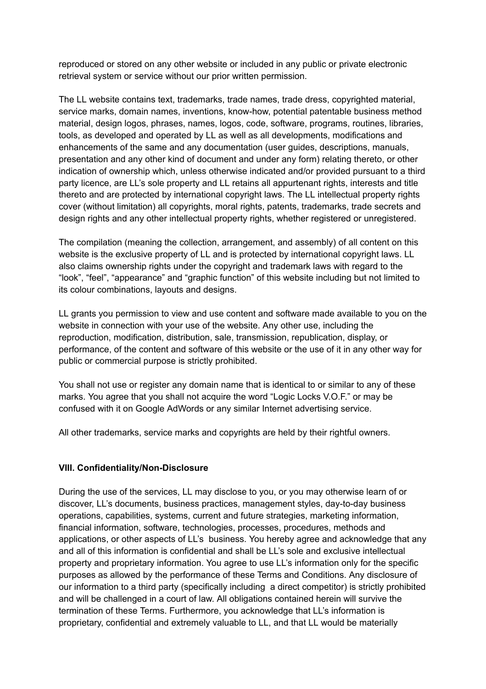reproduced or stored on any other website or included in any public or private electronic retrieval system or service without our prior written permission.

The LL website contains text, trademarks, trade names, trade dress, copyrighted material, service marks, domain names, inventions, know-how, potential patentable business method material, design logos, phrases, names, logos, code, software, programs, routines, libraries, tools, as developed and operated by LL as well as all developments, modifications and enhancements of the same and any documentation (user guides, descriptions, manuals, presentation and any other kind of document and under any form) relating thereto, or other indication of ownership which, unless otherwise indicated and/or provided pursuant to a third party licence, are LL's sole property and LL retains all appurtenant rights, interests and title thereto and are protected by international copyright laws. The LL intellectual property rights cover (without limitation) all copyrights, moral rights, patents, trademarks, trade secrets and design rights and any other intellectual property rights, whether registered or unregistered.

The compilation (meaning the collection, arrangement, and assembly) of all content on this website is the exclusive property of LL and is protected by international copyright laws. LL also claims ownership rights under the copyright and trademark laws with regard to the "look", "feel", "appearance" and "graphic function" of this website including but not limited to its colour combinations, layouts and designs.

LL grants you permission to view and use content and software made available to you on the website in connection with your use of the website. Any other use, including the reproduction, modification, distribution, sale, transmission, republication, display, or performance, of the content and software of this website or the use of it in any other way for public or commercial purpose is strictly prohibited.

You shall not use or register any domain name that is identical to or similar to any of these marks. You agree that you shall not acquire the word "Logic Locks V.O.F." or may be confused with it on Google AdWords or any similar Internet advertising service.

All other trademarks, service marks and copyrights are held by their rightful owners.

## **VIII. Confidentiality/Non-Disclosure**

During the use of the services, LL may disclose to you, or you may otherwise learn of or discover, LL's documents, business practices, management styles, day-to-day business operations, capabilities, systems, current and future strategies, marketing information, financial information, software, technologies, processes, procedures, methods and applications, or other aspects of LL's business. You hereby agree and acknowledge that any and all of this information is confidential and shall be LL's sole and exclusive intellectual property and proprietary information. You agree to use LL's information only for the specific purposes as allowed by the performance of these Terms and Conditions. Any disclosure of our information to a third party (specifically including a direct competitor) is strictly prohibited and will be challenged in a court of law. All obligations contained herein will survive the termination of these Terms. Furthermore, you acknowledge that LL's information is proprietary, confidential and extremely valuable to LL, and that LL would be materially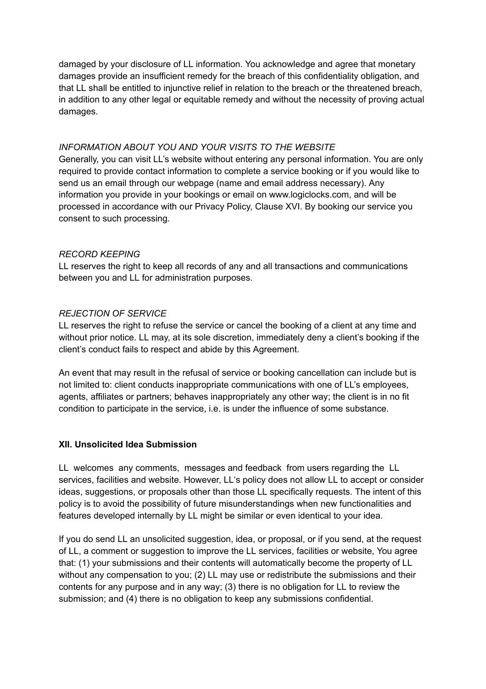damaged by your disclosure of LL information. You acknowledge and agree that monetary damages provide an insufficient remedy for the breach of this confidentiality obligation, and that LL shall be entitled to injunctive relief in relation to the breach or the threatened breach, in addition to any other legal or equitable remedy and without the necessity of proving actual damages.

#### *INFORMATION ABOUT YOU AND YOUR VISITS TO THE WEBSITE*

Generally, you can visit LL's website without entering any personal information. You are only required to provide contact information to complete a service booking or if you would like to send us an email through our webpage (name and email address necessary). Any information you provide in your bookings or email on www.logiclocks.com, and will be processed in accordance with our Privacy Policy, Clause XVI. By booking our service you consent to such processing.

## *RECORD KEEPING*

LL reserves the right to keep all records of any and all transactions and communications between you and LL for administration purposes.

## *REJECTION OF SERVICE*

LL reserves the right to refuse the service or cancel the booking of a client at any time and without prior notice. LL may, at its sole discretion, immediately deny a client's booking if the client's conduct fails to respect and abide by this Agreement.

An event that may result in the refusal of service or booking cancellation can include but is not limited to: client conducts inappropriate communications with one of LL's employees, agents, affiliates or partners; behaves inappropriately any other way; the client is in no fit condition to participate in the service, i.e. is under the influence of some substance.

## **XII. Unsolicited Idea Submission**

LL welcomes any comments, messages and feedback from users regarding the LL services, facilities and website. However, LL's policy does not allow LL to accept or consider ideas, suggestions, or proposals other than those LL specifically requests. The intent of this policy is to avoid the possibility of future misunderstandings when new functionalities and features developed internally by LL might be similar or even identical to your idea.

If you do send LL an unsolicited suggestion, idea, or proposal, or if you send, at the request of LL, a comment or suggestion to improve the LL services, facilities or website, You agree that: (1) your submissions and their contents will automatically become the property of LL without any compensation to you; (2) LL may use or redistribute the submissions and their contents for any purpose and in any way; (3) there is no obligation for LL to review the submission; and (4) there is no obligation to keep any submissions confidential.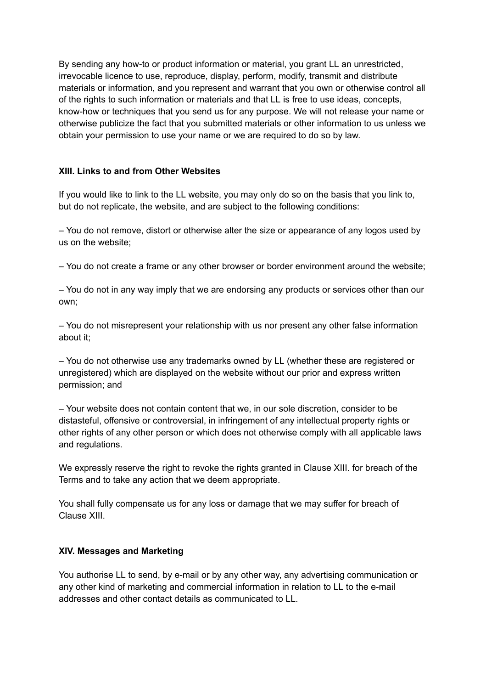By sending any how-to or product information or material, you grant LL an unrestricted, irrevocable licence to use, reproduce, display, perform, modify, transmit and distribute materials or information, and you represent and warrant that you own or otherwise control all of the rights to such information or materials and that LL is free to use ideas, concepts, know-how or techniques that you send us for any purpose. We will not release your name or otherwise publicize the fact that you submitted materials or other information to us unless we obtain your permission to use your name or we are required to do so by law.

## **XIII. Links to and from Other Websites**

If you would like to link to the LL website, you may only do so on the basis that you link to, but do not replicate, the website, and are subject to the following conditions:

– You do not remove, distort or otherwise alter the size or appearance of any logos used by us on the website;

– You do not create a frame or any other browser or border environment around the website;

– You do not in any way imply that we are endorsing any products or services other than our own;

– You do not misrepresent your relationship with us nor present any other false information about it;

– You do not otherwise use any trademarks owned by LL (whether these are registered or unregistered) which are displayed on the website without our prior and express written permission; and

– Your website does not contain content that we, in our sole discretion, consider to be distasteful, offensive or controversial, in infringement of any intellectual property rights or other rights of any other person or which does not otherwise comply with all applicable laws and regulations.

We expressly reserve the right to revoke the rights granted in Clause XIII. for breach of the Terms and to take any action that we deem appropriate.

You shall fully compensate us for any loss or damage that we may suffer for breach of Clause XIII.

# **XIV. Messages and Marketing**

You authorise LL to send, by e-mail or by any other way, any advertising communication or any other kind of marketing and commercial information in relation to LL to the e-mail addresses and other contact details as communicated to LL.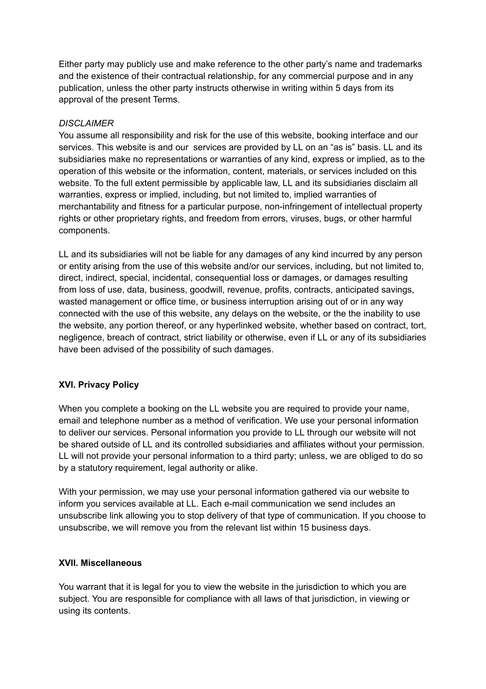Either party may publicly use and make reference to the other party's name and trademarks and the existence of their contractual relationship, for any commercial purpose and in any publication, unless the other party instructs otherwise in writing within 5 days from its approval of the present Terms.

# *DISCLAIMER*

You assume all responsibility and risk for the use of this website, booking interface and our services. This website is and our services are provided by LL on an "as is" basis. LL and its subsidiaries make no representations or warranties of any kind, express or implied, as to the operation of this website or the information, content, materials, or services included on this website. To the full extent permissible by applicable law, LL and its subsidiaries disclaim all warranties, express or implied, including, but not limited to, implied warranties of merchantability and fitness for a particular purpose, non-infringement of intellectual property rights or other proprietary rights, and freedom from errors, viruses, bugs, or other harmful components.

LL and its subsidiaries will not be liable for any damages of any kind incurred by any person or entity arising from the use of this website and/or our services, including, but not limited to, direct, indirect, special, incidental, consequential loss or damages, or damages resulting from loss of use, data, business, goodwill, revenue, profits, contracts, anticipated savings, wasted management or office time, or business interruption arising out of or in any way connected with the use of this website, any delays on the website, or the the inability to use the website, any portion thereof, or any hyperlinked website, whether based on contract, tort, negligence, breach of contract, strict liability or otherwise, even if LL or any of its subsidiaries have been advised of the possibility of such damages.

# **XVI. Privacy Policy**

When you complete a booking on the LL website you are required to provide your name, email and telephone number as a method of verification. We use your personal information to deliver our services. Personal information you provide to LL through our website will not be shared outside of LL and its controlled subsidiaries and affiliates without your permission. LL will not provide your personal information to a third party; unless, we are obliged to do so by a statutory requirement, legal authority or alike.

With your permission, we may use your personal information gathered via our website to inform you services available at LL. Each e-mail communication we send includes an unsubscribe link allowing you to stop delivery of that type of communication. If you choose to unsubscribe, we will remove you from the relevant list within 15 business days.

## **XVII. Miscellaneous**

You warrant that it is legal for you to view the website in the jurisdiction to which you are subject. You are responsible for compliance with all laws of that jurisdiction, in viewing or using its contents.